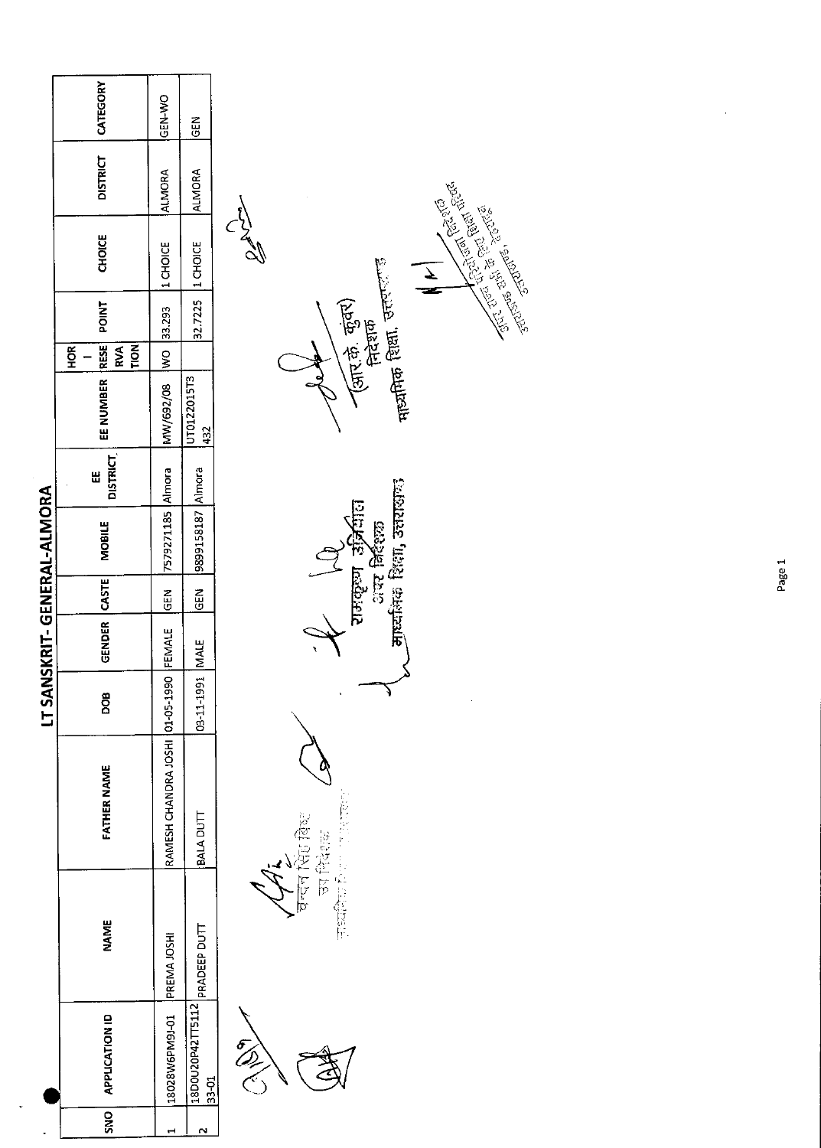|                             | CATEGORY                                               | GEN-WO                             | <b>GEN</b>                |                                                                                                                                        |
|-----------------------------|--------------------------------------------------------|------------------------------------|---------------------------|----------------------------------------------------------------------------------------------------------------------------------------|
|                             | <b>DISTRICT</b>                                        | <b>ALMORA</b>                      | <b>ALMORA</b>             |                                                                                                                                        |
|                             | <b>CHOICE</b>                                          | 1 CHOICE                           | 1 CHOICE                  | <b>Contract of the Contract of Contract of Contract of Contract of Contract of Contract of Contract of Contract o</b><br>$\frac{1}{2}$ |
|                             | POINT<br>RESE<br>TION<br><b>RVA</b><br>HOR <sub></sub> | 33,293<br>$\widetilde{\mathsf{S}}$ | 32.7225                   | मायमिक शिक्षा, उत्तरप <sup>राजु</sup><br>(जार के. कुंवर)<br>निदेशक                                                                     |
| LT SANSKRIT- GENERAL-ALMORA | EE NUMBER                                              | MW/692/08                          | UT0122015T3<br>432        |                                                                                                                                        |
|                             | <b>DISTRICT</b><br>Ш                                   | Almora                             |                           |                                                                                                                                        |
|                             | <b>MOBILE</b>                                          | 7579271185                         | 9899158187 Almora         | A AD                                                                                                                                   |
|                             |                                                        | <b>REM</b>                         | $rac{1}{100}$             |                                                                                                                                        |
|                             | GENDER CASTE                                           | FEMALE                             | MALE                      |                                                                                                                                        |
|                             | DOB                                                    |                                    | 03-11-1991                | x<br>۹                                                                                                                                 |
|                             | FATHER NAME                                            | RAMESH CHANDRA JOSHI 01-05-1990    | BALA DUTT                 | 化乙酸 经经济的<br>bester Ep                                                                                                                  |
|                             | <b>NAME</b>                                            | PREMA JOSHI                        | PRADEEP DUTT              | "全音传话记<br>घन्दन                                                                                                                        |
|                             | <b>APPLICATION ID</b>                                  | 18028W6PM9J-01                     | 18D0U20P42TT5112<br>33-01 | EN C                                                                                                                                   |
|                             | <b>ONS</b>                                             | ₩                                  | $\sim$                    |                                                                                                                                        |

 $\sim 10^{-1}$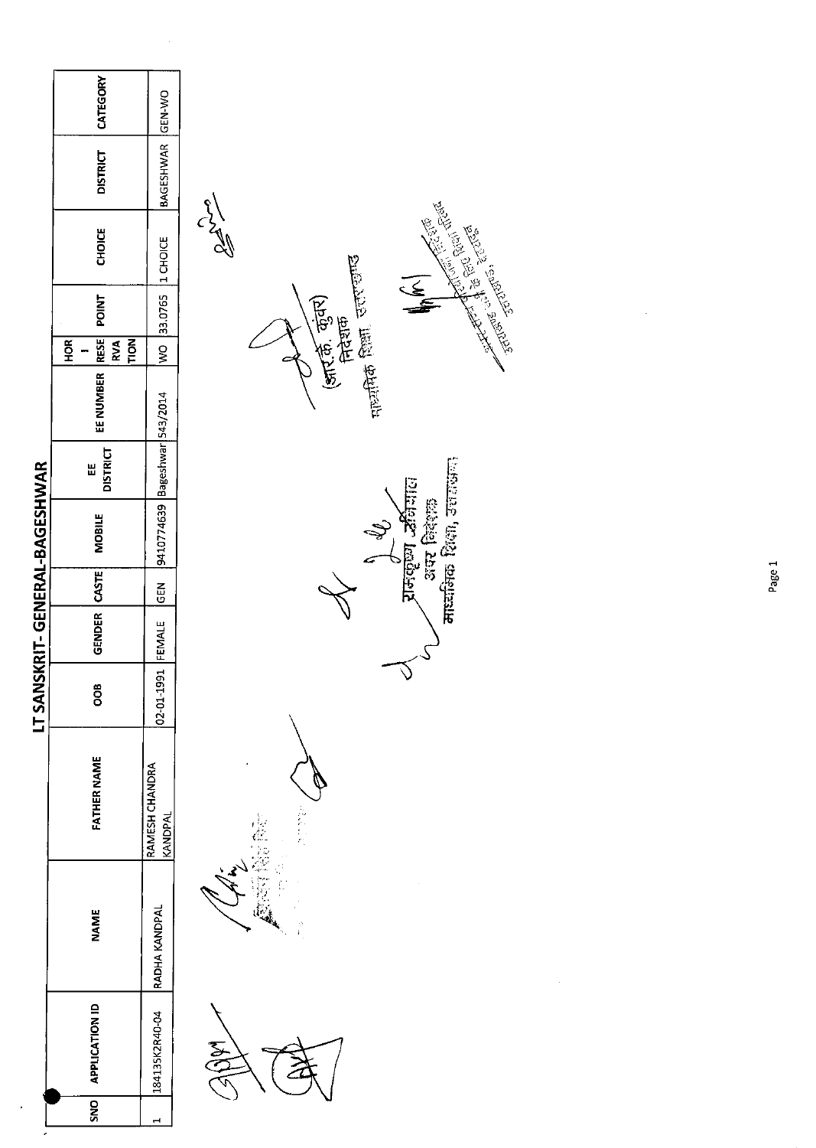|                                | CATEGORY                                              | GEN-WO                    |                                              |
|--------------------------------|-------------------------------------------------------|---------------------------|----------------------------------------------|
|                                | <b>DISTRICT</b>                                       | <b>BAGESHWAR</b>          |                                              |
|                                | CHOICE                                                | 1 CHOICE                  | <b>Property designations</b><br>$\mathbb{Z}$ |
|                                | <b>POINT</b>                                          | 33.0765                   | E CH<br>(आर.की. कुंवर)<br>सिदेशक             |
|                                | <b>RESE</b><br>HOR <sub>1</sub><br>RVA<br><b>FION</b> | $\frac{1}{2}$             |                                              |
|                                | EE NUMBER                                             |                           | मुल्लीक शिक्षा, उत्तराण्ण                    |
|                                | <b>DISTRICT</b><br>쁪                                  | Bageshwar 543/2014        |                                              |
|                                | <b>MOBILE</b>                                         | 9410774639                | माध्यमिक शिक्षा, उत्तराख्यात्<br>Jurquin Ab  |
|                                |                                                       | <b>GEN</b>                |                                              |
| LT SANSKRIT- GENERAL-BAGESHWAR | GENDER CASTE                                          | FEMALE                    |                                              |
|                                | OOB                                                   | 02-01-1991                |                                              |
|                                | <b>FATHER NAME</b>                                    | RAMESH CHANDRA<br>KANDPAL | لايم<br>موا                                  |
|                                | <b>NAME</b>                                           | RADHA KANDPAL             | ist<br>4                                     |
|                                | <b>APPLICATION ID</b>                                 | 184135K2R40-04            | <b>SAL</b>                                   |
|                                | <b>SNO</b>                                            | $\mathbf{r}$              |                                              |

 $\label{eq:1} \frac{1}{\sqrt{2}}\left(\frac{1}{2}\right)^{\frac{1}{2}}$ 

Page 1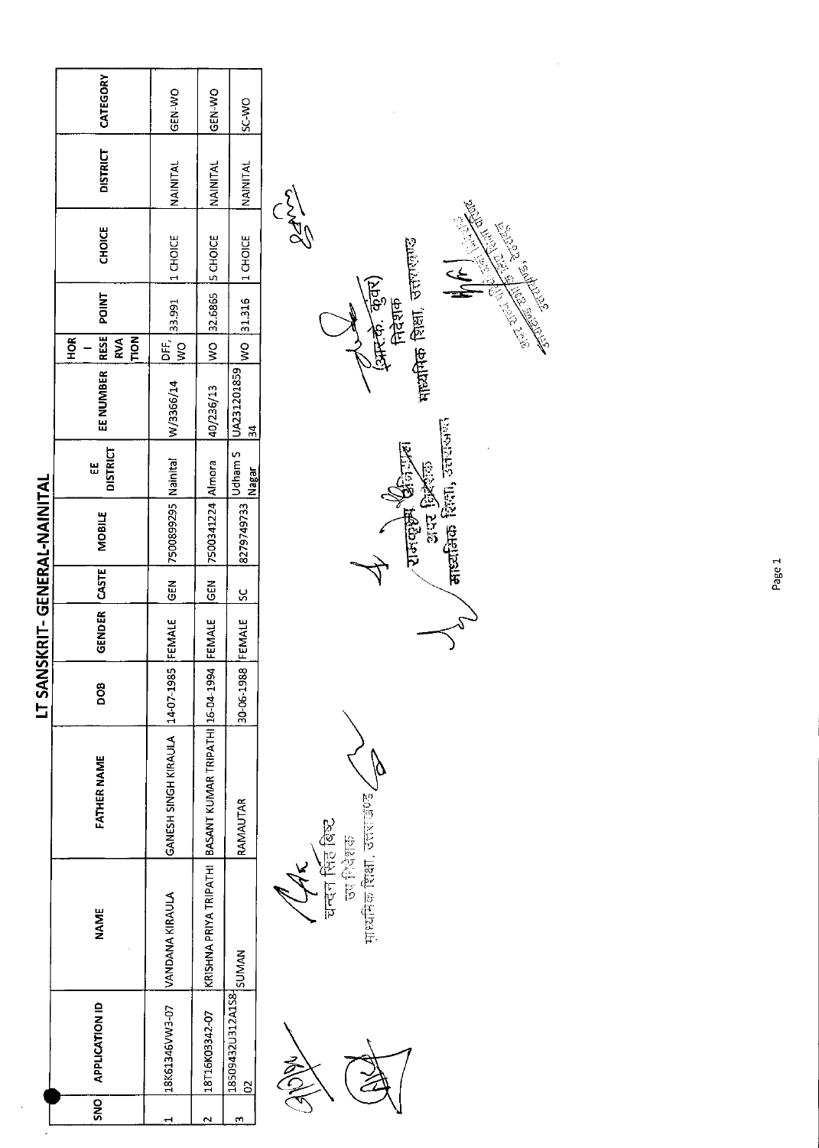| CATEGORY<br><b>GEN-WO</b><br>GEN-WO<br><b>SC-WO</b>                                                                           |                                                                                                                                  |
|-------------------------------------------------------------------------------------------------------------------------------|----------------------------------------------------------------------------------------------------------------------------------|
| <b>DISTRICT</b><br>NAINITAL<br>NAINITAL<br>NAINITAL                                                                           |                                                                                                                                  |
| <b>STAR</b><br><b>CHOICE</b><br>1 CHOICE<br>5 CHOICE<br>1 CHOICE                                                              |                                                                                                                                  |
| माध्यमिक शिक्षा, उत्तराणण्ड<br>(अमरके कुँवर)<br>निदेशक<br><b>POINT</b><br>32.6865<br>31.316<br>33.991                         | JRICE'S<br><b>Contract Contract Contract Contract Contract Contract Contract Contract Contract Contract Contract Contract Co</b> |
| <b>RESE</b><br><b>NONL</b><br>H <sub>OR</sub><br><b>RVA</b><br>DE,<br>$\frac{1}{3}$<br>$\frac{1}{2}$<br>$\frac{1}{2}$         |                                                                                                                                  |
| EE NUMBER<br>UA231201859<br>W/3366/14<br>40/236/13<br>ᅷ                                                                       |                                                                                                                                  |
| <b>DISTRICT</b><br>Udham S<br>Nainital<br>Ш<br>Nagar                                                                          |                                                                                                                                  |
| areztara Rom, sarawa<br>7500341224 Almora<br>अंस प्रिर्शक<br><b>THREE SETS</b><br>7500899295<br>8279749733<br><b>MOBILE</b>   |                                                                                                                                  |
| CASTE<br><b>GEN</b><br>군<br>0<br>ပ္ပ                                                                                          |                                                                                                                                  |
| NSKRIT- GENERAL-NAINITAL<br>GENDER<br>FEMALE<br>FEMALE<br>FEMALE                                                              |                                                                                                                                  |
| 30-06-1988<br>LT SAI<br><b>BOO</b>                                                                                            |                                                                                                                                  |
| GANESH SINGH KIRAULA 14-07-1985<br>BASANT KUMAR TRIPATHI 16-04-1994<br><b>FATHER NAME</b><br>RAMAUTAR                         |                                                                                                                                  |
| माध्यमिक शिक्षा, उत्तराखण्ड,<br>चन्दन सिंह बिष्ट<br><b>Becker</b><br>KRISHNA PRIYA TRIPATHI<br>VANDANA KIRAULA<br><b>NAME</b> |                                                                                                                                  |
| 18509432U312A1S8-SUMAN<br><b>APPLICATION ID</b><br>18K61346VW3-07<br>18T16K03342-07<br>$\mathbf{S}$                           |                                                                                                                                  |
| <b>SNO</b><br>$\sim$<br>m<br>1                                                                                                |                                                                                                                                  |

Page 1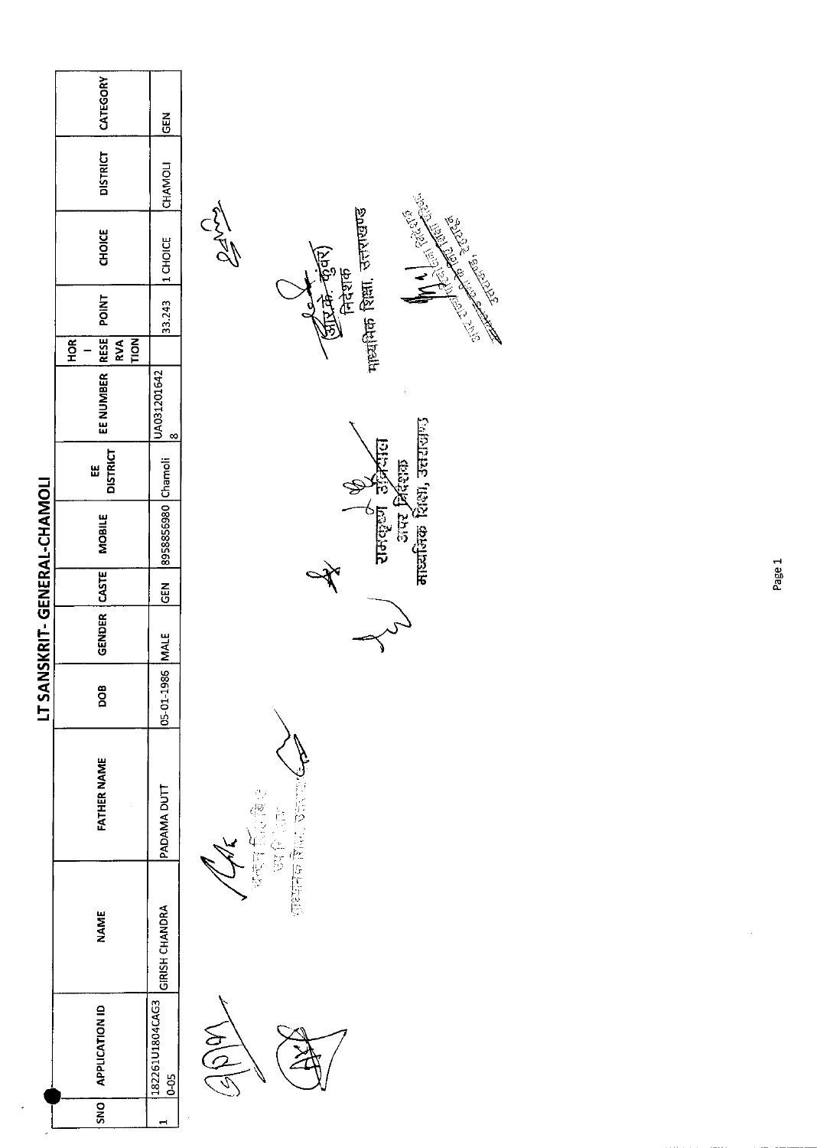|                                         | CATEGORY                                           | Ğ                         |                                                                                                    |
|-----------------------------------------|----------------------------------------------------|---------------------------|----------------------------------------------------------------------------------------------------|
|                                         | <b>DISTRICT</b>                                    | CHAMOLI                   | $\frac{5}{\sqrt{2}}$                                                                               |
|                                         | <b>CHOICE</b>                                      | 1 CHOICE                  | माध्यमिक शिक्षा, उत्तराखण्ड<br>Jennes Maria<br>$\sum_{i=1}^{n}$                                    |
|                                         | <b>POINT</b>                                       | 33.243                    | ( 1554-1591)<br>निदेशक<br><b>1975-00-00</b>                                                        |
|                                         | RESE <br>$\overline{5}$<br>HOR <sup>T</sup><br>RVA |                           |                                                                                                    |
|                                         | EE NUMBER                                          | UA031201642<br> 8         |                                                                                                    |
|                                         | <b>DISTRICT</b><br>W                               |                           | ापर निर्देशक                                                                                       |
|                                         | <b>MOBILE</b>                                      | 8958856980 Chamoli        | माध्यमिक शिक्षा, उत्तराजाण्ड<br>य काक्कृष्ण जी<br>रामकृष्ण जी                                      |
|                                         |                                                    | $rac{1}{2}$               |                                                                                                    |
| NSKRIT-GENERAL-CHAMOLI<br><b>LT SAI</b> | GENDER CASTE                                       |                           |                                                                                                    |
|                                         | DOB                                                | 05-01-1986 MALE           |                                                                                                    |
|                                         | <b>FATHER NAME</b>                                 | PADAMA DUTT               | 1459 豆蔻 6年53年<br>$\begin{bmatrix} 1 & 1 \\ 1 & 1 \\ 1 & 1 \\ 1 & 1 \end{bmatrix}$<br>C<br>SS<br>SS |
|                                         | <b>NAME</b>                                        | GIRISH CHANDRA            | दन्दन्                                                                                             |
|                                         | <b>APPLICATION ID</b>                              | 182261U1804CAG3<br>$0-05$ | $\frac{1}{2}$                                                                                      |
| $\lambda$                               | <b>ONS</b>                                         | $\mathbf{r}$              |                                                                                                    |

Page 1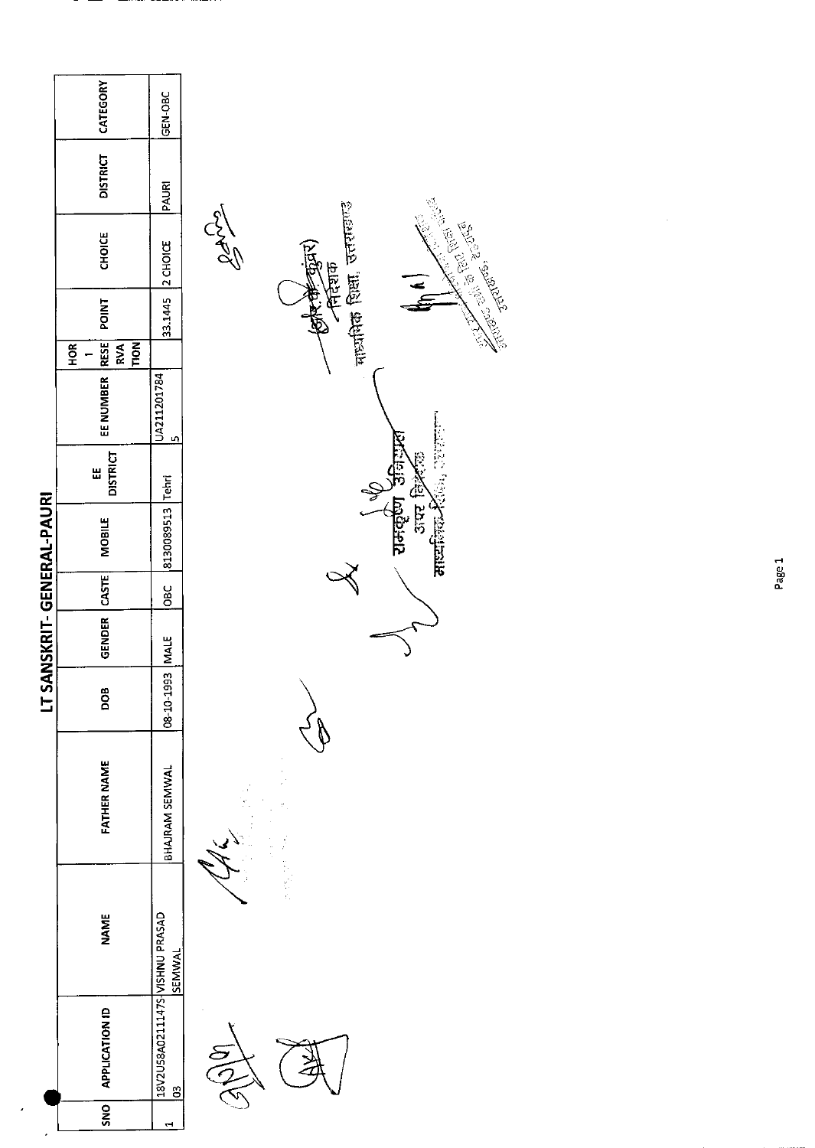|                            | CATEGORY                                        |                                                  |                                                                                                |
|----------------------------|-------------------------------------------------|--------------------------------------------------|------------------------------------------------------------------------------------------------|
|                            |                                                 | GEN-OBC                                          |                                                                                                |
|                            | <b>DISTRICT</b>                                 | PAURI                                            |                                                                                                |
|                            | <b>CHOICE</b>                                   | 2 CHOICE                                         | manta fean actuano<br>CIVEY<br><b>CONTROLLER SCRIPTION</b><br>स्त्रीर से जुंदार)<br>- निर्देशक |
|                            | <b>POINT</b>                                    | 33.1445                                          |                                                                                                |
|                            | <b>RESE</b><br><b>POLI</b><br>HOR<br><b>RVA</b> |                                                  |                                                                                                |
|                            | EE NUMBER                                       | UA211201784<br>LŊ,                               |                                                                                                |
|                            | <b>DISTRICT</b><br>出                            | Tehri                                            | ster fekt                                                                                      |
| LT SANSKRIT- GENERAL-PAURI | <b>MOBILE</b>                                   | 8130089513                                       | $\frac{\sqrt{\epsilon}}{2145$ द्युरेण उन्निन्नु<br>साध्यालक                                    |
|                            |                                                 | OBC                                              |                                                                                                |
|                            | GENDER CASTE                                    | <b>NALE</b>                                      |                                                                                                |
|                            | DOB                                             | 08-10-1993                                       |                                                                                                |
|                            | FATHER NAME                                     | BHAJRAM SEMWAL                                   |                                                                                                |
|                            | <b>NAME</b>                                     | SEMWAL                                           | 12000000                                                                                       |
|                            | <b>APPLICATION ID</b>                           | 18V2U58A0211147S-VISHNU PRASAD<br>$\overline{3}$ | ر<br>م                                                                                         |
| $\lambda$                  | SN <sub>O</sub>                                 | 렌                                                |                                                                                                |

т.

 $\mathbf{r}$ 

## Page 1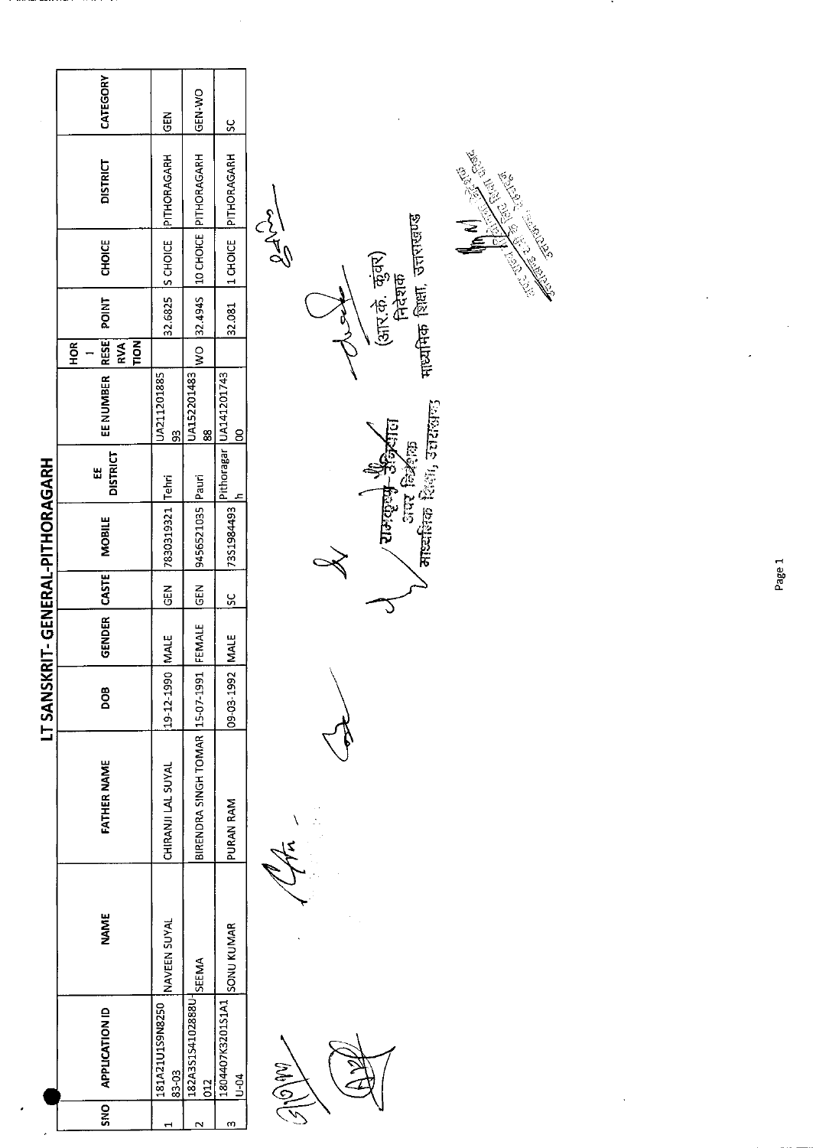|                          | CATEGORY                                       |                          | GEN-WO                              |                                          |                                                    |
|--------------------------|------------------------------------------------|--------------------------|-------------------------------------|------------------------------------------|----------------------------------------------------|
|                          |                                                | $\frac{2}{5}$            |                                     | ပ္တ                                      |                                                    |
|                          | <b>DISTRICT</b>                                | PITHORAGARH              |                                     | PITHORAGARH                              | <b>Contraction Inc.</b>                            |
|                          | <b>CHOICE</b>                                  | S CHOICE                 | 10 CHOICE PITHORAGARH               | 1 CHOICE                                 | $25 - 30$<br>गायमिक शिक्षा, उत्तराखण्ड<br>ัล<br>ดู |
|                          | POINT                                          | 32.6825                  | 32 4945                             | 32.081                                   | (आर.के. कुंवर)<br>निदेशक                           |
|                          | RESE<br><b>TION</b><br>HOR <sub>I</sub><br>RVA |                          | $\frac{1}{2}$                       |                                          |                                                    |
|                          | EE NUMBER                                      | UA211201885<br>8         | UA152201483<br>88                   | Pithoragar UA141201743<br>$\overline{8}$ |                                                    |
|                          | <b>DISTRICT</b><br>Ш                           |                          | Pauri                               |                                          |                                                    |
| KRIT-GENERAL-PITHORAGARH | <b>MOBILE</b>                                  | 7830319321 Tehri         | 9456521035                          | 7351984493                               | राज्यकरण के अन्निर्वाध                             |
|                          |                                                | M3                       | <b>GEN</b>                          | SC                                       |                                                    |
|                          | GENDER CASTE                                   | <b>IMALE</b>             | FEMALE                              |                                          |                                                    |
| LT SANS                  | 8OQ                                            | 19-12-1990               | 15-07-1991                          | 09-03-1992 MALE                          |                                                    |
|                          | <b>FATHER NAME</b>                             | CHIRANJI LAL SUYAL       | BIRENDRA SINGH TOMAR                | PURAN RAM                                |                                                    |
|                          | <b>NAME</b>                                    | NAVEEN SUYAL             | <b>SEEMA</b>                        | <b>SONU KUMAR</b>                        |                                                    |
|                          | <b>APPLICATION ID</b>                          | 181A21U1S9N8250<br>83-03 | 182A3S1S4102888U-<br>$\overline{C}$ | 1804407K3201S1A1<br>$\frac{1}{2}$        | $\frac{1}{2}$                                      |
|                          | <b>SNO</b>                                     |                          |                                     | m                                        |                                                    |

 $\frac{1}{\sqrt{2}}$ 

------



л.

 $\bar{z}$ 

 $\overline{a}$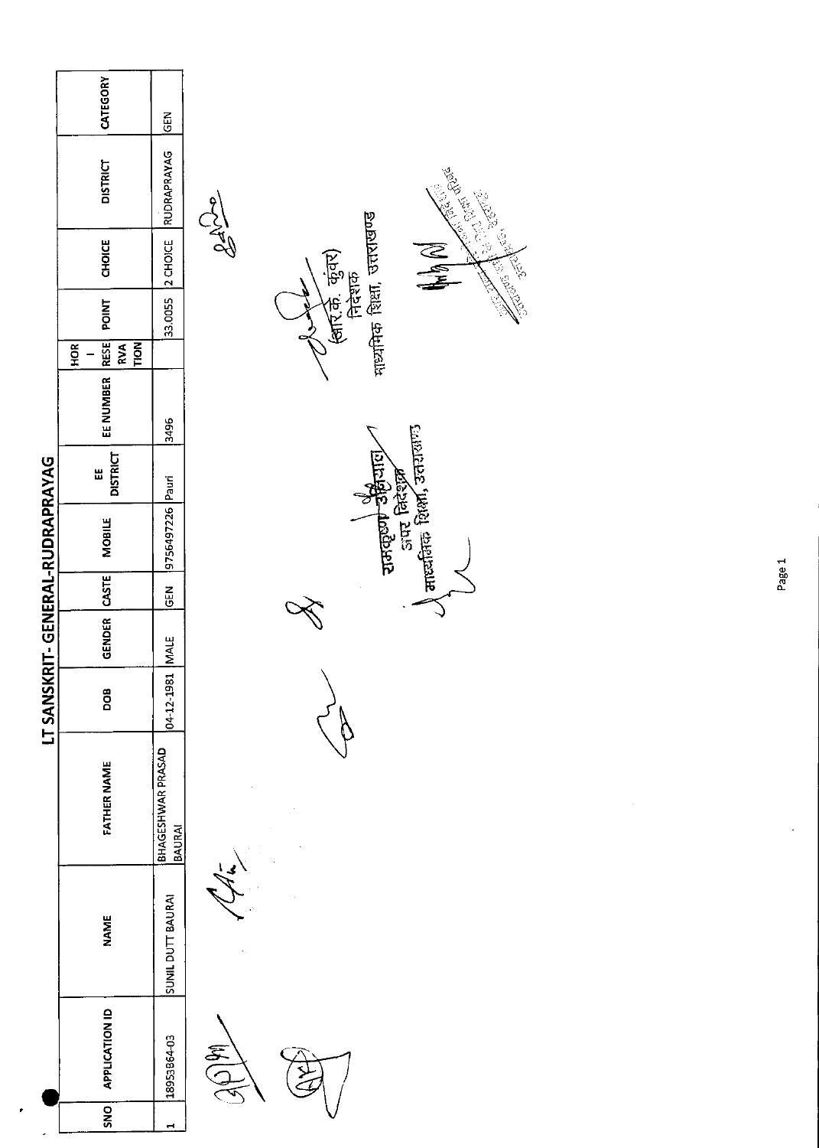|                                 | CATEGORY                                                     | GEN                         |                                                                                   |
|---------------------------------|--------------------------------------------------------------|-----------------------------|-----------------------------------------------------------------------------------|
|                                 | <b>DISTRICT</b>                                              | RUDRAPRAYAG                 | <b>Contract Contract Street Report</b>                                            |
|                                 | CHOICE                                                       | 2 CHOICE                    | माध्यमिक शिक्षा, उत्तराखण्ड<br>$\frac{1}{2}$<br>N N                               |
|                                 | <b>POINT</b>                                                 | 33.0055                     | (बार् के. कुंवर)<br>निदेशक                                                        |
|                                 | RESE<br><b>TION</b><br>$\overline{\mathbf{R}}$<br><b>HOR</b> |                             |                                                                                   |
|                                 | EE NUMBER                                                    | 3496                        |                                                                                   |
|                                 | <b>DISTRICT</b><br>Ш                                         |                             |                                                                                   |
| LT SANSKRIT-GENERAL-RUDRAPRAYAG | MOBILE                                                       | 9756497226 Pauri            | पालकार जिल्ला के साथ करने हैं।<br>जब्द निरंशल काली<br>बाह्यसिंह शिक्षा, उत्तरालाण |
|                                 |                                                              | <b>GEN</b>                  |                                                                                   |
|                                 | GENDER CASTE                                                 |                             |                                                                                   |
|                                 | DOB                                                          | 04-12-1981 MALE             |                                                                                   |
|                                 | <b>FATHER NAME</b>                                           | BHAGESHWAR PRASAD<br>BAURAI |                                                                                   |
|                                 | <b>NAME</b>                                                  | SUNIL DUTT BAURAI           |                                                                                   |
|                                 | <b>APPLICATION ID</b>                                        | 18953B64-03                 | <b>SAR</b>                                                                        |
|                                 | <b>ONS</b>                                                   | ↤                           |                                                                                   |

 $\frac{1}{2}$